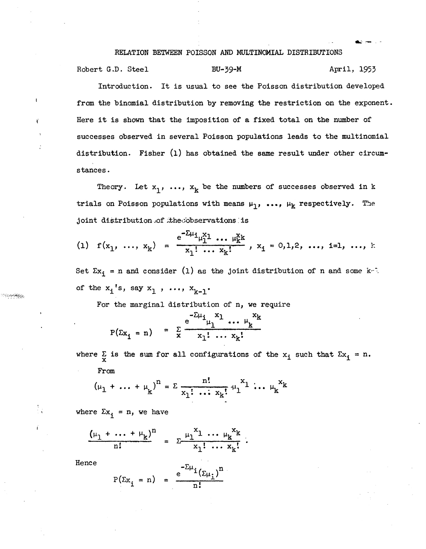## RELATION BETWEEN POISSON AND MULTINOMIAL DISTRIBUTIONS

.... --.-

Robert G.D. Steel BU-39-M BU-39-M April, 1953

Introduction. It is usual to see the Poisson distribution developed from the binomial distribution by removing the restriction on the exponent. Here it is shown that the imposition of a fixed total on the number of successes observed in several Poisson populations leads to the multinomial distribution. Fisher  $(1)$  has obtained the same result under other circumstances.

Theory. Let  $x_1$ , ...,  $x_k$  be the numbers of successes observed in k trials on Poisson populations with means  $\mu_1$ , ...,  $\mu_k$  respectively. The joint distribution of the cobservations is

(1) 
$$
f(x_1, ..., x_k) = \frac{e^{-2\mu_1} \mu_1^x \cdots \mu_k^x k}{x_1! \cdots x_k!}, x_1 = 0,1,2, ..., i=1, ..., k
$$

Set  $\Sigma x_i$  = n and consider (1) as the joint distribution of n and some k<sup>-7</sup>: of the  $x_i$ 's, say  $x_1$ , ...,  $x_{k-1}$ .

For the marginal distribution of *n*, we require

$$
P(\Sigma x_1 = n) = \sum_{x}^{\infty} \frac{e^{-\Sigma \mu_1} x_1 \dots \mu_k x_k}{x_1! \dots x_k!}
$$

where  $\Sigma$  is the sum for all configurations of the  $x_i$  such that  $\Sigma x_i = n$ . From

$$
(\mu_1 + \dots + \mu_k)^n = \sum \frac{n!}{x_1! \dots x_k!} \mu_1^{x_1} \dots \mu_k^{x_k}
$$

where  $\Sigma x_i = n$ , we have

$$
\frac{(\mu_1 + \dots + \mu_k)^n}{n!} = \sum_{x_1 + \dots + x_k = 1}^{\mu_1 x_1 + \dots + \mu_k x_k}.
$$

Hence

$$
P(\Sigma x_i = n) = \frac{e^{-2\mu_i}(\Sigma \mu_i)^n}{n!}
$$

ၣၣၣၜၜၜႝၛႄၛၟ